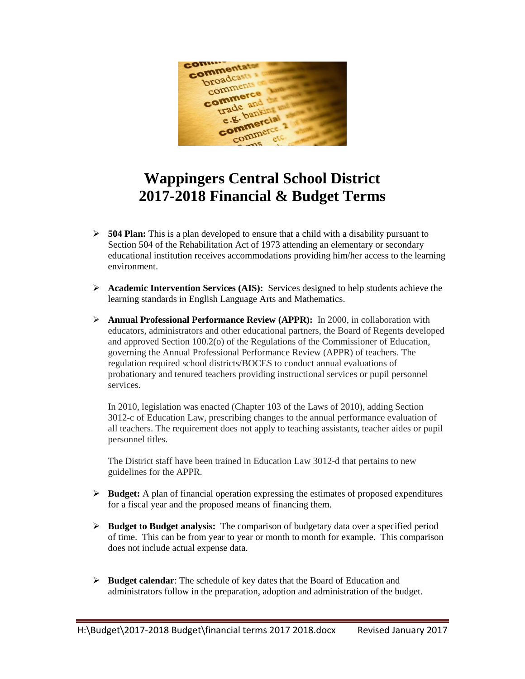

## **Wappingers Central School District 2017-2018 Financial & Budget Terms**

- **504 Plan:** This is a plan developed to ensure that a child with a disability pursuant to Section 504 of the Rehabilitation Act of 1973 attending an elementary or secondary educational institution receives accommodations providing him/her access to the learning environment.
- **Academic Intervention Services (AIS):** Services designed to help students achieve the learning standards in English Language Arts and Mathematics.
- **Annual Professional Performance Review (APPR):** In 2000, in collaboration with educators, administrators and other educational partners, the Board of Regents developed and approved Section 100.2(o) of the Regulations of the Commissioner of Education, governing the Annual Professional Performance Review (APPR) of teachers. The regulation required school districts/BOCES to conduct annual evaluations of probationary and tenured teachers providing instructional services or pupil personnel services.

In 2010, legislation was enacted (Chapter 103 of the Laws of 2010), adding Section 3012-c of Education Law, prescribing changes to the annual performance evaluation of all teachers. The requirement does not apply to teaching assistants, teacher aides or pupil personnel titles.

The District staff have been trained in Education Law 3012-d that pertains to new guidelines for the APPR.

- **Budget:** A plan of financial operation expressing the estimates of proposed expenditures for a fiscal year and the proposed means of financing them.
- **Budget to Budget analysis:** The comparison of budgetary data over a specified period of time. This can be from year to year or month to month for example. This comparison does not include actual expense data.
- **Budget calendar**: The schedule of key dates that the Board of Education and administrators follow in the preparation, adoption and administration of the budget.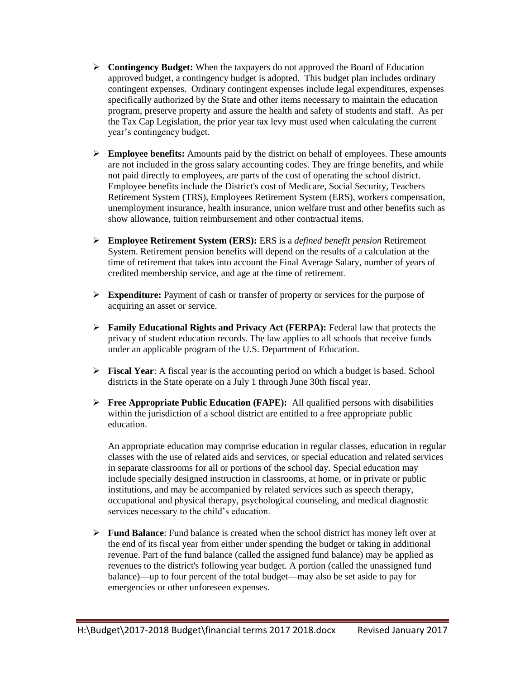- **Contingency Budget:** When the taxpayers do not approved the Board of Education approved budget, a contingency budget is adopted. This budget plan includes ordinary contingent expenses. Ordinary contingent expenses include legal expenditures, expenses specifically authorized by the State and other items necessary to maintain the education program, preserve property and assure the health and safety of students and staff. As per the Tax Cap Legislation, the prior year tax levy must used when calculating the current year's contingency budget.
- **Employee benefits:** Amounts paid by the district on behalf of employees. These amounts are not included in the gross salary accounting codes. They are fringe benefits, and while not paid directly to employees, are parts of the cost of operating the school district. Employee benefits include the District's cost of Medicare, Social Security, Teachers Retirement System (TRS), Employees Retirement System (ERS), workers compensation, unemployment insurance, health insurance, union welfare trust and other benefits such as show allowance, tuition reimbursement and other contractual items.
- **Employee Retirement System (ERS):** ERS is a *defined benefit pension* Retirement System. Retirement pension benefits will depend on the results of a calculation at the time of retirement that takes into account the Final Average Salary, number of years of credited membership service, and age at the time of retirement.
- **Expenditure:** Payment of cash or transfer of property or services for the purpose of acquiring an asset or service.
- **Family Educational Rights and Privacy Act (FERPA):** Federal law that protects the privacy of student education records. The law applies to all schools that receive funds under an applicable program of the U.S. Department of Education.
- **Fiscal Year:** A fiscal year is the accounting period on which a budget is based. School districts in the State operate on a July 1 through June 30th fiscal year.
- **Free Appropriate Public Education (FAPE):** All qualified persons with disabilities within the jurisdiction of a school district are entitled to a free appropriate public education.

An appropriate education may comprise education in regular classes, education in regular classes with the use of related aids and services, or special education and related services in separate classrooms for all or portions of the school day. Special education may include specially designed instruction in classrooms, at home, or in private or public institutions, and may be accompanied by related services such as speech therapy, occupational and physical therapy, psychological counseling, and medical diagnostic services necessary to the child's education.

 **Fund Balance**: Fund balance is created when the school district has money left over at the end of its fiscal year from either under spending the budget or taking in additional revenue. Part of the fund balance (called the assigned fund balance) may be applied as revenues to the district's following year budget. A portion (called the unassigned fund balance)—up to four percent of the total budget—may also be set aside to pay for emergencies or other unforeseen expenses.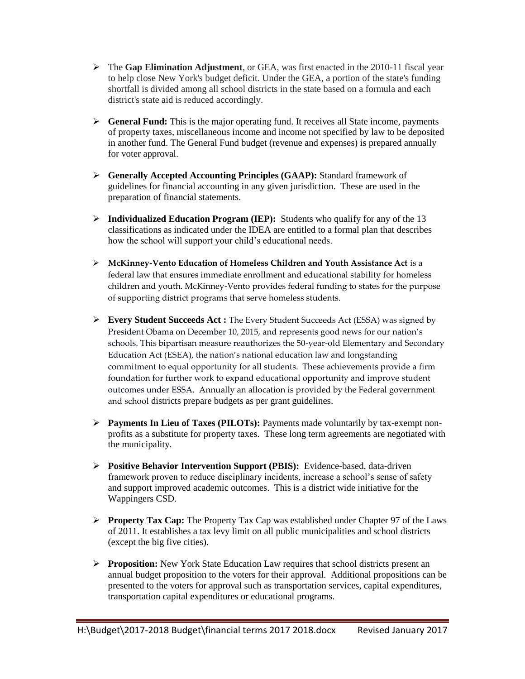- The **Gap Elimination Adjustment**, or GEA, was first enacted in the 2010-11 fiscal year to help close New York's budget deficit. Under the GEA, a portion of the state's funding shortfall is divided among all school districts in the state based on a formula and each district's state aid is reduced accordingly.
- **General Fund:** This is the major operating fund. It receives all State income, payments of property taxes, miscellaneous income and income not specified by law to be deposited in another fund. The General Fund budget (revenue and expenses) is prepared annually for voter approval.
- **Generally Accepted Accounting Principles (GAAP):** Standard framework of guidelines for financial accounting in any given jurisdiction. These are used in the preparation of financial statements.
- **Individualized Education Program (IEP):** Students who qualify for any of the 13 classifications as indicated under the IDEA are entitled to a formal plan that describes how the school will support your child's educational needs.
- **McKinney-Vento Education of Homeless Children and Youth Assistance Act** is a federal law that ensures immediate enrollment and educational stability for homeless children and youth. McKinney-Vento provides federal funding to states for the purpose of supporting district programs that serve homeless students.
- **Every Student Succeeds Act :** The Every Student Succeeds Act (ESSA) was signed by President Obama on December 10, 2015, and represents good news for our nation's schools. This bipartisan measure reauthorizes the 50-year-old Elementary and Secondary Education Act (ESEA), the nation's national education law and longstanding commitment to equal opportunity for all students. These achievements provide a firm foundation for further work to expand educational opportunity and improve student outcomes under ESSA. Annually an allocation is provided by the Federal government and school districts prepare budgets as per grant guidelines.
- **Payments In Lieu of Taxes (PILOTs):** Payments made voluntarily by tax-exempt nonprofits as a substitute for property taxes. These long term agreements are negotiated with the municipality.
- **Positive Behavior Intervention Support (PBIS):** Evidence-based, data-driven framework proven to reduce disciplinary incidents, increase a school's sense of safety and support improved academic outcomes. This is a district wide initiative for the Wappingers CSD.
- **Property Tax Cap:** The Property Tax Cap was established under Chapter 97 of the Laws of 2011. It establishes a tax levy limit on all public municipalities and school districts (except the big five cities).
- **Proposition:** New York State Education Law requires that school districts present an annual budget proposition to the voters for their approval. Additional propositions can be presented to the voters for approval such as transportation services, capital expenditures, transportation capital expenditures or educational programs.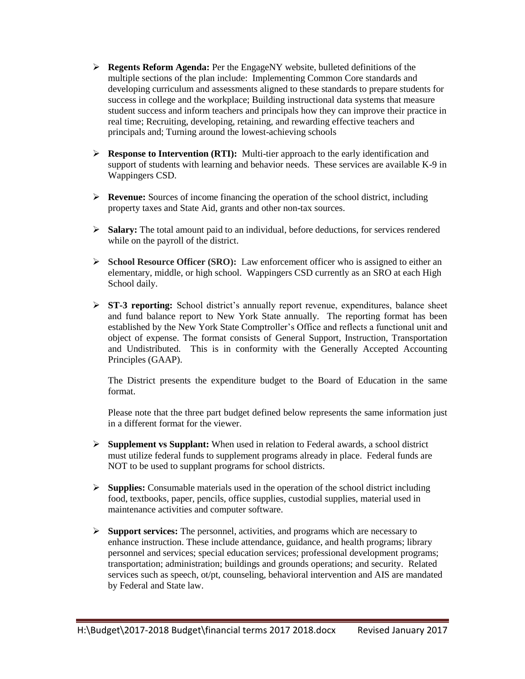- **Regents Reform Agenda:** Per the EngageNY website, bulleted definitions of the multiple sections of the plan include: Implementing Common Core standards and developing curriculum and assessments aligned to these standards to prepare students for success in college and the workplace; Building instructional data systems that measure student success and inform teachers and principals how they can improve their practice in real time; Recruiting, developing, retaining, and rewarding effective teachers and principals and; Turning around the lowest-achieving schools
- **Response to Intervention (RTI):** Multi-tier approach to the early identification and support of students with learning and behavior needs. These services are available K-9 in Wappingers CSD.
- **Revenue:** Sources of income financing the operation of the school district, including property taxes and State Aid, grants and other non-tax sources.
- **Salary:** The total amount paid to an individual, before deductions, for services rendered while on the payroll of the district.
- **School Resource Officer (SRO):** Law enforcement officer who is assigned to either an elementary, middle, or high school. Wappingers CSD currently as an SRO at each High School daily.
- **ST-3 reporting:** School district's annually report revenue, expenditures, balance sheet and fund balance report to New York State annually. The reporting format has been established by the New York State Comptroller's Office and reflects a functional unit and object of expense. The format consists of General Support, Instruction, Transportation and Undistributed. This is in conformity with the Generally Accepted Accounting Principles (GAAP).

The District presents the expenditure budget to the Board of Education in the same format.

Please note that the three part budget defined below represents the same information just in a different format for the viewer.

- **Supplement vs Supplant:** When used in relation to Federal awards, a school district must utilize federal funds to supplement programs already in place. Federal funds are NOT to be used to supplant programs for school districts.
- **Supplies:** Consumable materials used in the operation of the school district including food, textbooks, paper, pencils, office supplies, custodial supplies, material used in maintenance activities and computer software.
- **Support services:** The personnel, activities, and programs which are necessary to enhance instruction. These include attendance, guidance, and health programs; library personnel and services; special education services; professional development programs; transportation; administration; buildings and grounds operations; and security. Related services such as speech, ot/pt, counseling, behavioral intervention and AIS are mandated by Federal and State law.